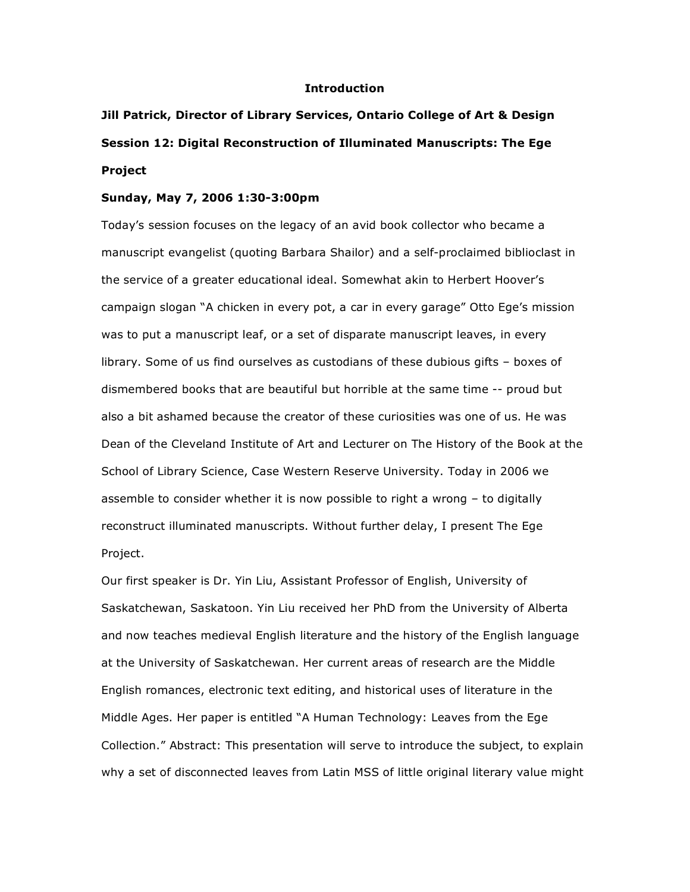## **Introduction**

## **Jill Patrick, Director of Library Services, Ontario College of Art & Design Session 12: Digital Reconstruction of Illuminated Manuscripts: The Ege Project**

## **Sunday, May 7, 2006 1:30-3:00pm**

Today's session focuses on the legacy of an avid book collector who became a manuscript evangelist (quoting Barbara Shailor) and a self-proclaimed biblioclast in the service of a greater educational ideal. Somewhat akin to Herbert Hoover's campaign slogan "A chicken in every pot, a car in every garage" Otto Ege's mission was to put a manuscript leaf, or a set of disparate manuscript leaves, in every library. Some of us find ourselves as custodians of these dubious gifts – boxes of dismembered books that are beautiful but horrible at the same time -- proud but also a bit ashamed because the creator of these curiosities was one of us. He was Dean of the Cleveland Institute of Art and Lecturer on The History of the Book at the School of Library Science, Case Western Reserve University. Today in 2006 we assemble to consider whether it is now possible to right a wrong – to digitally reconstruct illuminated manuscripts. Without further delay, I present The Ege Project.

Our first speaker is Dr. Yin Liu, Assistant Professor of English, University of Saskatchewan, Saskatoon. Yin Liu received her PhD from the University of Alberta and now teaches medieval English literature and the history of the English language at the University of Saskatchewan. Her current areas of research are the Middle English romances, electronic text editing, and historical uses of literature in the Middle Ages. Her paper is entitled "A Human Technology: Leaves from the Ege Collection." Abstract: This presentation will serve to introduce the subject, to explain why a set of disconnected leaves from Latin MSS of little original literary value might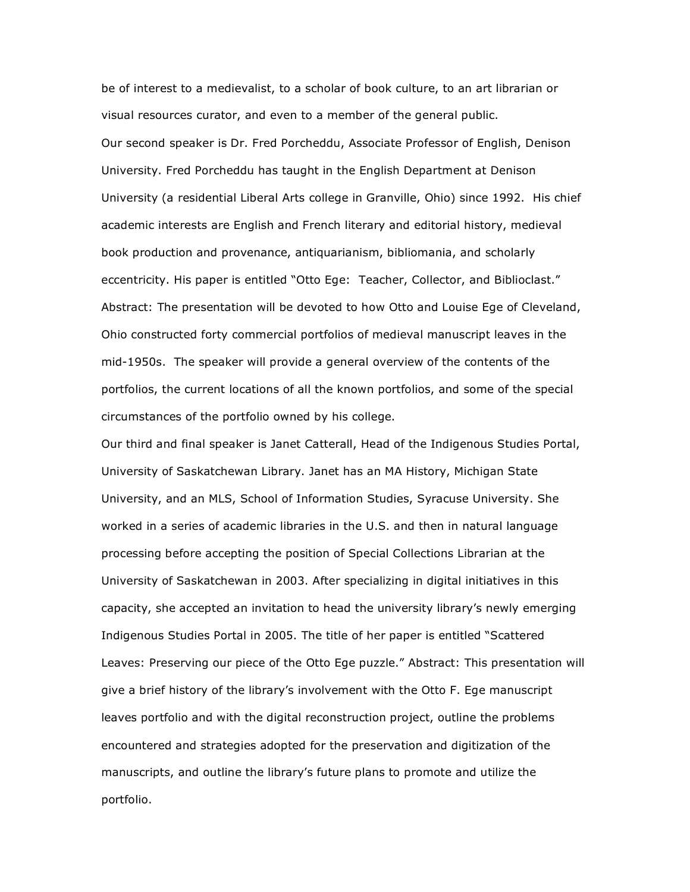be of interest to a medievalist, to a scholar of book culture, to an art librarian or visual resources curator, and even to a member of the general public. Our second speaker is Dr. Fred Porcheddu, Associate Professor of English, Denison University. Fred Porcheddu has taught in the English Department at Denison University (a residential Liberal Arts college in Granville, Ohio) since 1992. His chief academic interests are English and French literary and editorial history, medieval book production and provenance, antiquarianism, bibliomania, and scholarly eccentricity. His paper is entitled "Otto Ege: Teacher, Collector, and Biblioclast." Abstract: The presentation will be devoted to how Otto and Louise Ege of Cleveland, Ohio constructed forty commercial portfolios of medieval manuscript leaves in the mid-1950s. The speaker will provide a general overview of the contents of the portfolios, the current locations of all the known portfolios, and some of the special circumstances of the portfolio owned by his college.

Our third and final speaker is Janet Catterall, Head of the Indigenous Studies Portal, University of Saskatchewan Library. Janet has an MA History, Michigan State University, and an MLS, School of Information Studies, Syracuse University. She worked in a series of academic libraries in the U.S. and then in natural language processing before accepting the position of Special Collections Librarian at the University of Saskatchewan in 2003. After specializing in digital initiatives in this capacity, she accepted an invitation to head the university library's newly emerging Indigenous Studies Portal in 2005. The title of her paper is entitled "Scattered Leaves: Preserving our piece of the Otto Ege puzzle." Abstract: This presentation will give a brief history of the library's involvement with the Otto F. Ege manuscript leaves portfolio and with the digital reconstruction project, outline the problems encountered and strategies adopted for the preservation and digitization of the manuscripts, and outline the library's future plans to promote and utilize the portfolio.